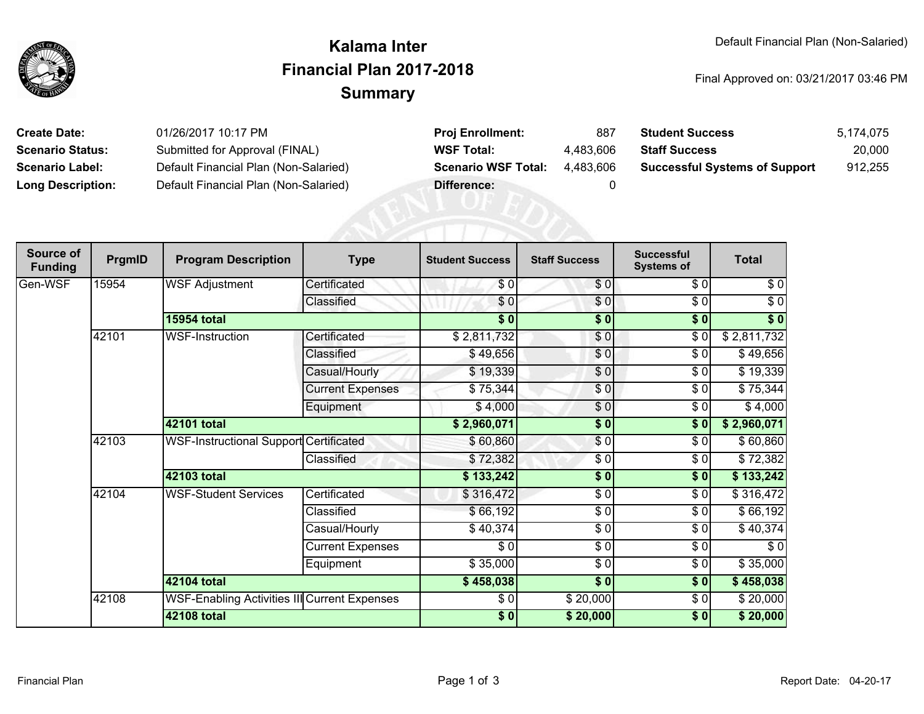

## **SummaryKalama InterFinancial Plan 2017-2018**

Final Approved on: 03/21/2017 03:46 PM

| <b>Create Date:</b>      | 01/26/2017 10:17 PM                   | <b>Proj Enrollment:</b>    | 887       | <b>Student Success</b>               | 5.174.075 |
|--------------------------|---------------------------------------|----------------------------|-----------|--------------------------------------|-----------|
| <b>Scenario Status:</b>  | Submitted for Approval (FINAL)        | <b>WSF Total:</b>          | 4.483.606 | <b>Staff Success</b>                 | 20,000    |
| <b>Scenario Label:</b>   | Default Financial Plan (Non-Salaried) | <b>Scenario WSF Total:</b> | 4.483.606 | <b>Successful Systems of Support</b> | 912,255   |
| <b>Long Description:</b> | Default Financial Plan (Non-Salaried) | Difference:                |           |                                      |           |

| Source of<br><b>Funding</b> | PrgmID | <b>Program Description</b>                    | <b>Type</b>             | <b>Student Success</b> | <b>Staff Success</b> | <b>Successful</b><br><b>Systems of</b> | <b>Total</b> |
|-----------------------------|--------|-----------------------------------------------|-------------------------|------------------------|----------------------|----------------------------------------|--------------|
| Gen-WSF                     | 15954  | <b>WSF Adjustment</b>                         | Certificated            | \$0                    | $\frac{1}{2}$        | \$0                                    | $\sqrt{6}$   |
|                             |        |                                               | Classified              | \$0                    | $\frac{1}{\sqrt{2}}$ | $\sqrt{6}$                             | $\sqrt{6}$   |
|                             |        | <b>15954 total</b>                            |                         | \$0                    | \$0                  | \$0                                    | \$0          |
|                             | 42101  | <b>WSF-Instruction</b>                        | Certificated            | \$2,811,732            | $\frac{6}{3}$        | $\sqrt{6}$                             | \$2,811,732  |
|                             |        |                                               | Classified              | \$49,656               | \$0                  | \$0                                    | \$49,656     |
|                             |        |                                               | Casual/Hourly           | \$19,339               | \$0                  | \$0                                    | \$19,339     |
|                             |        |                                               | <b>Current Expenses</b> | \$75,344               | $\frac{6}{6}$        | \$0                                    | \$75,344     |
|                             |        |                                               | Equipment               | \$4,000                | $\frac{6}{9}$        | \$0                                    | \$4,000      |
|                             |        | 42101 total                                   |                         | \$2,960,071            | $\frac{1}{6}$        | \$0                                    | \$2,960,071  |
|                             | 42103  | <b>WSF-Instructional Support Certificated</b> |                         | \$60,860               | \$0                  | \$0                                    | \$60,860     |
|                             |        |                                               | Classified              | \$72,382               | \$0                  | \$0                                    | \$72,382     |
|                             |        | <b>42103 total</b>                            |                         | \$133,242              | $\frac{1}{6}$        | $\sqrt{5}$                             | \$133,242    |
|                             | 42104  | <b>WSF-Student Services</b>                   | Certificated            | \$316,472              | \$0                  | \$0                                    | \$316,472    |
|                             |        |                                               | Classified              | \$66,192               | \$0                  | \$0                                    | \$66,192     |
|                             |        |                                               | Casual/Hourly           | \$40,374               | \$ 0                 | $\sqrt{6}$                             | \$40,374     |
|                             |        |                                               | <b>Current Expenses</b> | \$0                    | $\sqrt{6}$           | \$0                                    | $\sqrt{6}$   |
|                             |        |                                               | Equipment               | \$35,000               | $\sqrt{6}$           | \$0                                    | \$35,000     |
|                             |        | 42104 total                                   |                         | \$458,038              | $\frac{1}{6}$        | \$0]                                   | \$458,038    |
|                             | 42108  | WSF-Enabling Activities III Current Expenses  |                         | \$0                    | \$20,000             | \$0                                    | \$20,000     |
|                             |        | <b>42108 total</b>                            |                         | $\sqrt{6}$             | \$20,000             | \$0                                    | \$20,000     |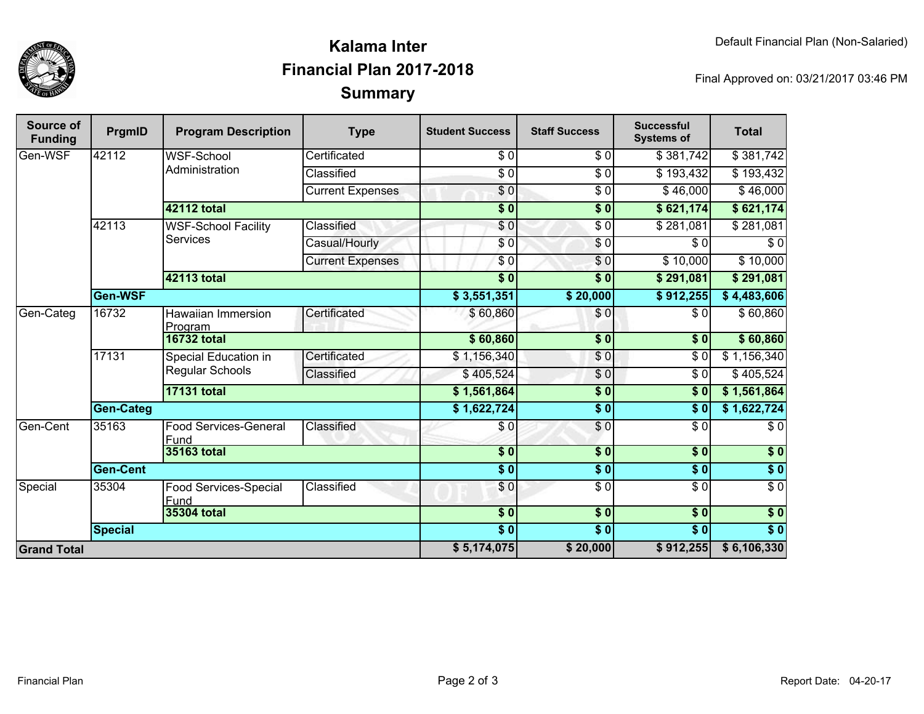

## **SummaryKalama InterFinancial Plan 2017-2018**

Final Approved on: 03/21/2017 03:46 PM

| Source of<br><b>Funding</b> | PrgmID             | <b>Program Description</b>                    | <b>Type</b>             | <b>Student Success</b> | <b>Staff Success</b> | <b>Successful</b><br><b>Systems of</b> | <b>Total</b>     |
|-----------------------------|--------------------|-----------------------------------------------|-------------------------|------------------------|----------------------|----------------------------------------|------------------|
| Gen-WSF                     | 42112              | WSF-School<br>Administration                  | Certificated            | \$0                    | \$0                  | \$381,742                              | \$381,742        |
|                             |                    |                                               | Classified              | $\overline{\$0}$       | $\overline{\$0}$     | \$193,432                              | \$193,432        |
|                             |                    |                                               | <b>Current Expenses</b> | \$0                    | $\overline{\$0}$     | \$46,000                               | \$46,000         |
|                             |                    | 42112 total                                   |                         | $\overline{\$0}$       | $\overline{\$0}$     | \$621,174                              | \$621,174        |
|                             | 42113              | <b>WSF-School Facility</b><br><b>Services</b> | Classified              | \$0                    | $\overline{\$0}$     | \$281,081                              | \$281,081        |
|                             |                    |                                               | Casual/Hourly           | \$0                    | \$0                  | \$0                                    | \$0              |
|                             |                    |                                               | <b>Current Expenses</b> | $\sqrt{6}$             | $\overline{\$0}$     | \$10,000                               | \$10,000         |
|                             |                    | <b>42113 total</b>                            |                         | $\overline{\$0}$       | $\overline{\$0}$     | \$291,081                              | \$291,081        |
| Gen-WSF                     |                    |                                               |                         | \$3,551,351            | \$20,000             | \$912,255                              | \$4,483,606      |
| Gen-Categ                   | 16732              | Hawaiian Immersion<br>Program                 | Certificated            | \$60,860               | \$0                  | \$0                                    | \$60,860         |
|                             |                    | <b>16732 total</b>                            |                         | \$60,860               | $\overline{\$}0$     | $\overline{\textbf{50}}$               | \$60,860         |
|                             | 17131              | Special Education in<br>Regular Schools       | Certificated            | \$1,156,340            | \$0                  | \$0                                    | \$1,156,340      |
|                             |                    |                                               | Classified              | \$405,524              | $\sqrt{6}$           | $\overline{\$0}$                       | \$405,524        |
|                             |                    | <b>17131 total</b>                            |                         | \$1,561,864            | \$0                  | \$0                                    | \$1,561,864      |
|                             | <b>Gen-Categ</b>   |                                               |                         | \$1,622,724            | \$0                  | $\overline{\$0}$                       | \$1,622,724      |
| <b>Gen-Cent</b>             | 35163              | <b>Food Services-General</b><br>Fund          | Classified              | \$0                    | $\frac{6}{6}$        | $\overline{\$0}$                       | \$0              |
|                             |                    | 35163 total                                   |                         | \$0                    | \$0                  | \$0                                    | \$0              |
|                             | <b>Gen-Cent</b>    |                                               | $\overline{\bullet}$    | \$0                    | \$0                  | \$0                                    |                  |
| Special                     | 35304              | Food Services-Special<br>Fund                 | Classified              | \$0                    | $\sqrt{6}$           | $\sqrt{6}$                             | $\sqrt{6}$       |
|                             | <b>35304 total</b> |                                               |                         | $\overline{\$0}$       | $\overline{\$0}$     | $\sqrt{50}$                            | $\sqrt{6}$       |
|                             | <b>Special</b>     |                                               |                         | $\overline{\$0}$       | $\overline{\$0}$     | $\overline{\$0}$                       | $\overline{\$0}$ |
| <b>Grand Total</b>          |                    |                                               | \$5,174,075             | \$20,000               | \$912,255            | \$6,106,330                            |                  |